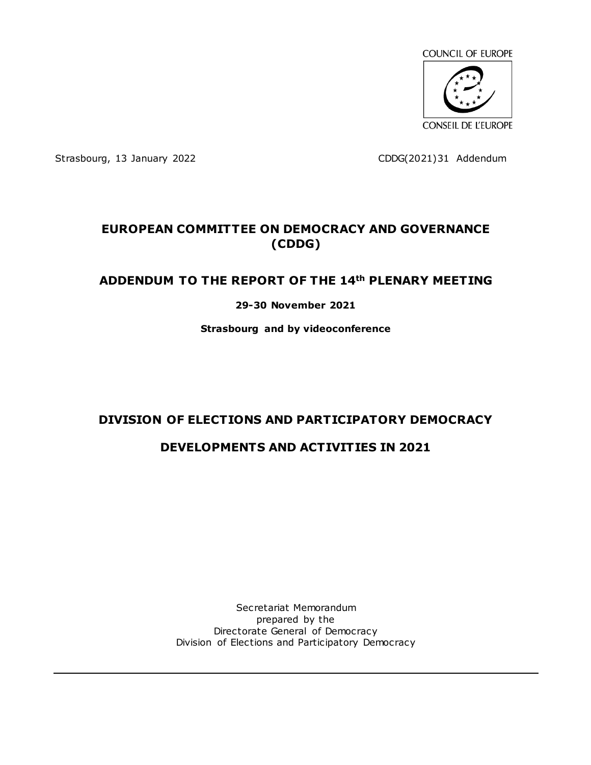

Strasbourg, 13 January 2022 CDDG(2021)31 Addendum

# **EUROPEAN COMMITTEE ON DEMOCRACY AND GOVERNANCE (CDDG)**

# **ADDENDUM TO THE REPORT OF THE 14th PLENARY MEETING**

#### **29-30 November 2021**

**Strasbourg and by videoconference**

# **DIVISION OF ELECTIONS AND PARTICIPATORY DEMOCRACY**

# **DEVELOPMENTS AND ACTIVITIES IN 2021**

Secretariat Memorandum prepared by the Directorate General of Democracy Division of Elections and Participatory Democracy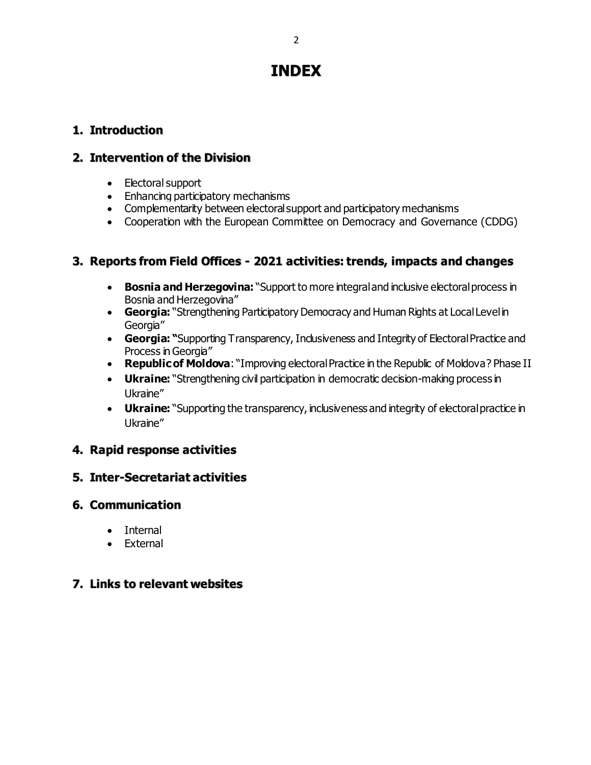# **INDEX**

# **1. Introduction**

# **2. Intervention of the Division**

- Electoral support
- Enhancing participatory mechanisms
- Complementarity between electoral support and participatory mechanisms
- Cooperation with the European Committee on Democracy and Governance (CDDG)

# **3. Reports from Field Offices - 2021 activities: trends, impacts and changes**

- **Bosnia and Herzegovina:** "Support to more integral and inclusive electoral process in Bosnia and Herzegovina"
- **Georgia:** "Strengthening Participatory Democracy and Human Rights at Local Level in Georgia"
- **Georgia: "**Supporting Transparency, Inclusiveness and Integrity of Electoral Practice and Process in Georgia"
- **Republic of Moldova:** "Improving electoral Practice in the Republic of Moldova? Phase II
- **Ukraine:** "Strengthening civil participation in democratic decision-making process in Ukraine"
- Ukraine: "Supporting the transparency, inclusiveness and integrity of electoral practice in Ukraine"

# **4. Rapid response activities**

# **5. Inter-Secretariat activities**

# **6. Communication**

- Internal
- External

# **7. Links to relevant websites**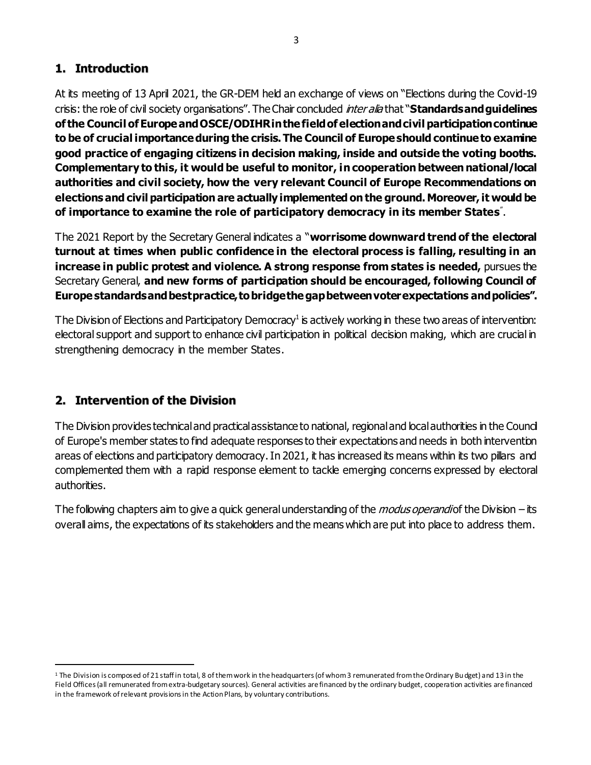# **1. Introduction**

At its meeting of 13 April 2021, the GR-DEM held an exchange of views on "Elections during the Covid-19 crisis: the role of civil society organisations". The Chair concluded inter alia that "**Standards and guidelines of the Council of Europe and OSCE/ODIHR in the field of election and civil participation continue to be of crucial importance during the crisis. The Council of Europe should continue to examine good practice of engaging citizens in decision making, inside and outside the voting booths. Complementary to this, it would be useful to monitor, in cooperation between national/local authorities and civil society, how the very relevant Council of Europe Recommendations on elections and civil participation are actually implemented on the ground. Moreover, it would be of importance to examine the role of participatory democracy in its member States** " .

The 2021 Report by the Secretary General indicates a "**worrisome downward trend of the electoral turnout at times when public confidence in the electoral process is falling, resulting in an increase in public protest and violence. A strong response from states is needed,** pursues the Secretary General, **and new forms of participation should be encouraged, following Council of Europe standards and best practice, to bridge the gap between voter expectations and policies".**

The Division of Elections and Participatory Democracy<sup>1</sup> is actively working in these two areas of intervention: electoral support and support to enhance civil participation in political decision making, which are crucial in strengthening democracy in the member States.

# **2. Intervention of the Division**

 $\overline{a}$ 

The Division provides technical and practical assistance to national, regionaland local authorities in the Council of Europe's member states to find adequate responses to their expectations and needs in both intervention areas of elections and participatory democracy. In 2021, it has increased its means within its two pillars and complemented them with a rapid response element to tackle emerging concerns expressed by electoral authorities.

The following chapters aim to give a quick general understanding of the *modus operandi* of the Division – its overall aims, the expectations of its stakeholders and the means which are put into place to address them.

<sup>&</sup>lt;sup>1</sup> The Division is composed of 21 staff in total, 8 of them work in the headquarters (of whom 3 remunerated from the Ordinary Bu dget) and 13 in the Field Offices (all remunerated from extra-budgetary sources). General activities are financed by the ordinary budget, cooperation activities are financed in the framework of relevant provisions in the Action Plans, by voluntary contributions.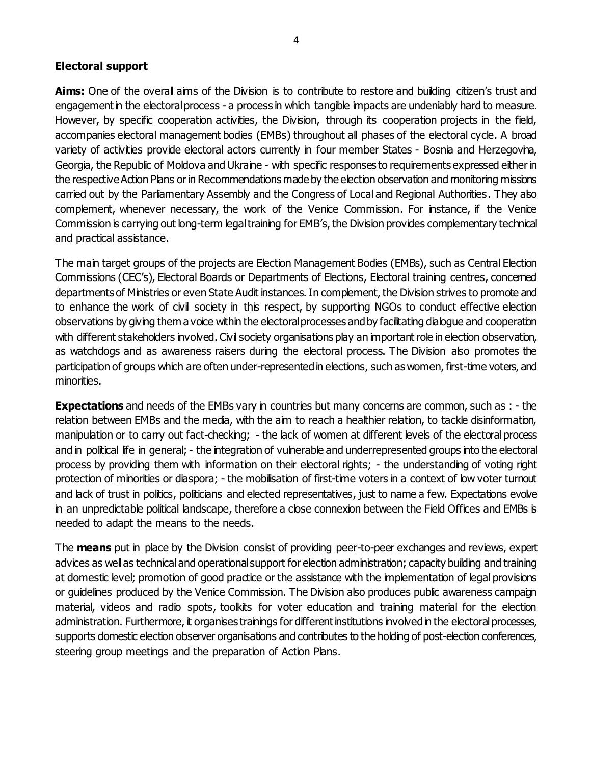#### **Electoral support**

Aims: One of the overall aims of the Division is to contribute to restore and building citizen's trust and engagement in the electoral process - a process in which tangible impacts are undeniably hard to measure. However, by specific cooperation activities, the Division, through its cooperation projects in the field, accompanies electoral management bodies (EMBs) throughout all phases of the electoral cycle. A broad variety of activities provide electoral actors currently in four member States - Bosnia and Herzegovina, Georgia, the Republic of Moldova and Ukraine - with specific responses to requirements expressed either in the respective Action Plans or in Recommendations made by the election observation and monitoring missions carried out by the Parliamentary Assembly and the Congress of Local and Regional Authorities. They also complement, whenever necessary, the work of the Venice Commission. For instance, if the Venice Commission is carrying out long-term legal training for EMB's, the Division provides complementary technical and practical assistance.

The main target groups of the projects are Election Management Bodies (EMBs), such as Central Election Commissions (CEC's), Electoral Boards or Departments of Elections, Electoral training centres, concerned departments of Ministries or even State Audit instances. In complement, the Division strives to promote and to enhance the work of civil society in this respect, by supporting NGOs to conduct effective election observations by giving them a voice within the electoral processes and by facilitating dialogue and cooperation with different stakeholders involved. Civil society organisations play an important role in election observation, as watchdogs and as awareness raisers during the electoral process. The Division also promotes the participation of groups which are often under-represented in elections, such as women, first-time voters, and minorities.

**Expectations** and needs of the EMBs vary in countries but many concerns are common, such as : - the relation between EMBs and the media, with the aim to reach a healthier relation, to tackle disinformation, manipulation or to carry out fact-checking; - the lack of women at different levels of the electoral process and in political life in general; - the integration of vulnerable and underrepresented groups into the electoral process by providing them with information on their electoral rights; - the understanding of voting right protection of minorities or diaspora; - the mobilisation of first-time voters in a context of low voter turnout and lack of trust in politics, politicians and elected representatives, just to name a few. Expectations evolve in an unpredictable political landscape, therefore a close connexion between the Field Offices and EMBs is needed to adapt the means to the needs.

The **means** put in place by the Division consist of providing peer-to-peer exchanges and reviews, expert advices as well as technical and operational support for election administration; capacity building and training at domestic level; promotion of good practice or the assistance with the implementation of legal provisions or guidelines produced by the Venice Commission. The Division also produces public awareness campaign material, videos and radio spots, toolkits for voter education and training material for the election administration. Furthermore, it organises trainings for different institutions involved in the electoral processes, supports domestic election observer organisations and contributes to the holding of post-election conferences, steering group meetings and the preparation of Action Plans.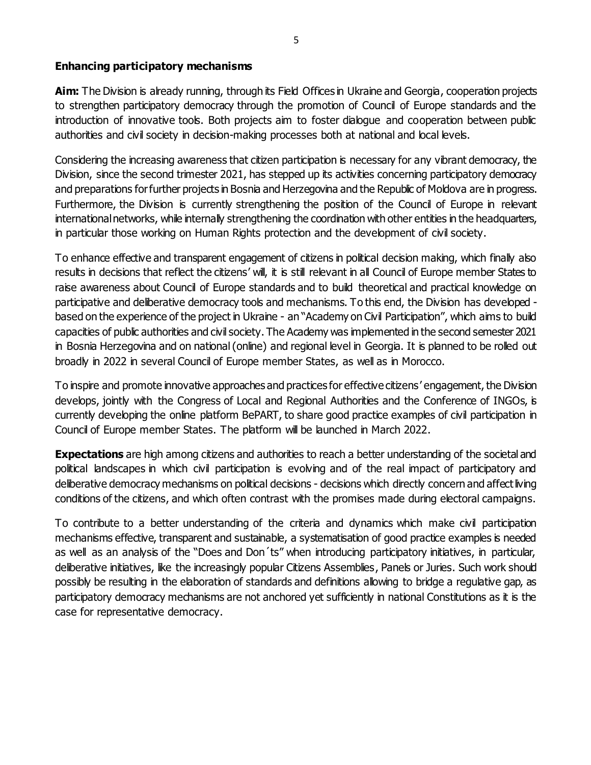#### **Enhancing participatory mechanisms**

**Aim:** The Division is already running, through its Field Offices in Ukraine and Georgia, cooperation projects to strengthen participatory democracy through the promotion of Council of Europe standards and the introduction of innovative tools. Both projects aim to foster dialogue and cooperation between public authorities and civil society in decision-making processes both at national and local levels.

Considering the increasing awareness that citizen participation is necessary for any vibrant democracy, the Division, since the second trimester 2021, has stepped up its activities concerning participatory democracy and preparations for further projects in Bosnia and Herzegovina and the Republic of Moldova are in progress. Furthermore, the Division is currently strengthening the position of the Council of Europe in relevant international networks, while internally strengthening the coordination with other entities in the headquarters, in particular those working on Human Rights protection and the development of civil society.

To enhance effective and transparent engagement of citizens in political decision making, which finally also results in decisions that reflect the citizens' will, it is still relevant in all Council of Europe member States to raise awareness about Council of Europe standards and to build theoretical and practical knowledge on participative and deliberative democracy tools and mechanisms. To this end, the Division has developed based on the experience of the project in Ukraine - an "Academy on Civil Participation", which aims to build capacities of public authorities and civil society. The Academy was implemented in the second semester 2021 in Bosnia Herzegovina and on national (online) and regional level in Georgia. It is planned to be rolled out broadly in 2022 in several Council of Europe member States, as well as in Morocco.

To inspire and promote innovative approaches and practices for effective citizens' engagement, the Division develops, jointly with the Congress of Local and Regional Authorities and the Conference of INGOs, is currently developing the online platform BePART, to share good practice examples of civil participation in Council of Europe member States. The platform will be launched in March 2022.

**Expectations** are high among citizens and authorities to reach a better understanding of the societal and political landscapes in which civil participation is evolving and of the real impact of participatory and deliberative democracy mechanisms on political decisions - decisions which directly concern and affect living conditions of the citizens, and which often contrast with the promises made during electoral campaigns.

To contribute to a better understanding of the criteria and dynamics which make civil participation mechanisms effective, transparent and sustainable, a systematisation of good practice examples is needed as well as an analysis of the "Does and Don´ts" when introducing participatory initiatives, in particular, deliberative initiatives, like the increasingly popular Citizens Assemblies, Panels or Juries. Such work should possibly be resulting in the elaboration of standards and definitions allowing to bridge a regulative gap, as participatory democracy mechanisms are not anchored yet sufficiently in national Constitutions as it is the case for representative democracy.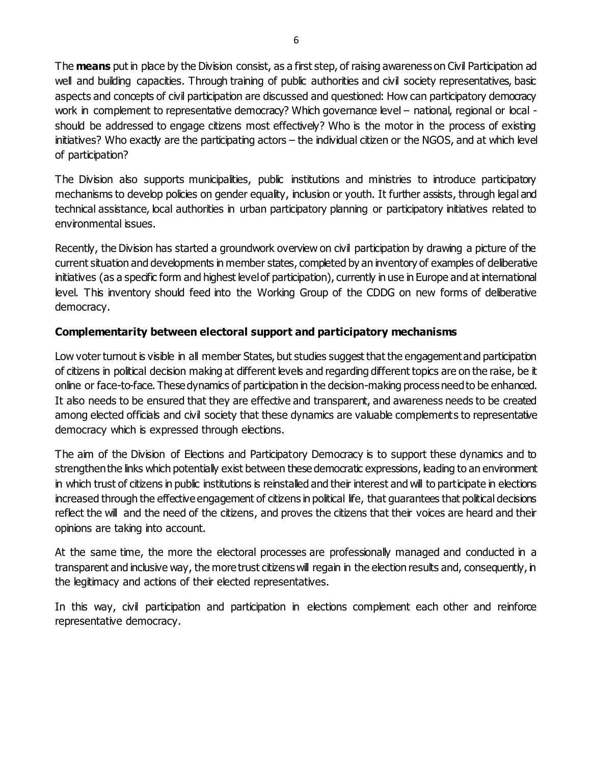The **means** put in place by the Division consist, as a first step, of raising awareness on Civil Participation ad well and building capacities. Through training of public authorities and civil society representatives, basic aspects and concepts of civil participation are discussed and questioned: How can participatory democracy work in complement to representative democracy? Which governance level – national, regional or local should be addressed to engage citizens most effectively? Who is the motor in the process of existing initiatives? Who exactly are the participating actors – the individual citizen or the NGOS, and at which level of participation?

The Division also supports municipalities, public institutions and ministries to introduce participatory mechanisms to develop policies on gender equality, inclusion or youth. It further assists, through legal and technical assistance, local authorities in urban participatory planning or participatory initiatives related to environmental issues.

Recently, the Division has started a groundwork overview on civil participation by drawing a picture of the current situation and developments in member states, completed by an inventory of examples of deliberative initiatives (as a specific form and highest level of participation), currently in use in Europe and at international level. This inventory should feed into the Working Group of the CDDG on new forms of deliberative democracy.

# **Complementarity between electoral support and participatory mechanisms**

Low voter turnout is visible in all member States, but studies suggest that the engagement and participation of citizens in political decision making at different levels and regarding different topics are on the raise, be it online or face-to-face. These dynamics of participation in the decision-making process need to be enhanced. It also needs to be ensured that they are effective and transparent, and awareness needs to be created among elected officials and civil society that these dynamics are valuable complements to representative democracy which is expressed through elections.

The aim of the Division of Elections and Participatory Democracy is to support these dynamics and to strengthen the links which potentially exist between these democratic expressions, leading to an environment in which trust of citizens in public institutions is reinstalled and their interest and will to participate in elections increased through the effective engagement of citizens in political life, that guarantees that political decisions reflect the will and the need of the citizens, and proves the citizens that their voices are heard and their opinions are taking into account.

At the same time, the more the electoral processes are professionally managed and conducted in a transparent and inclusive way, the more trust citizens will regain in the election results and, consequently, in the legitimacy and actions of their elected representatives.

In this way, civil participation and participation in elections complement each other and reinforce representative democracy.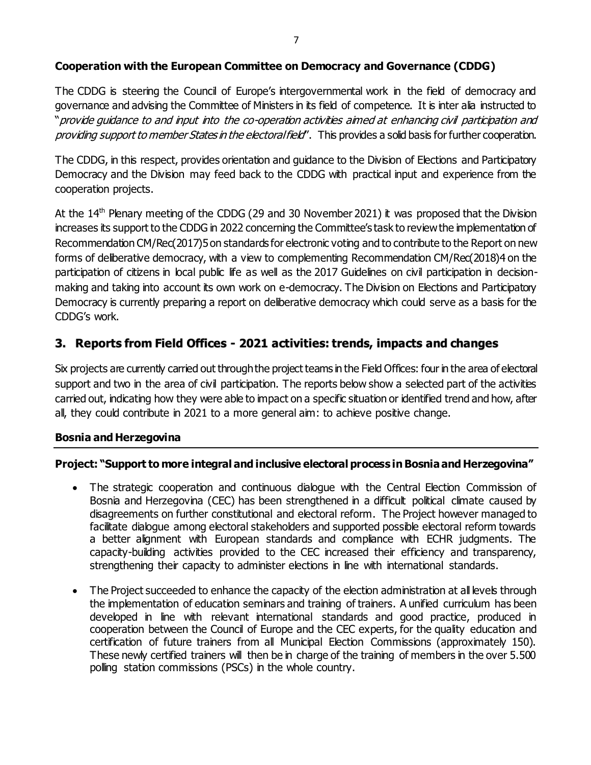### **Cooperation with the European Committee on Democracy and Governance (CDDG)**

The CDDG is steering the Council of Europe's intergovernmental work in the field of democracy and governance and advising the Committee of Ministers in its field of competence. It is inter alia instructed to "provide guidance to and input into the co-operation activities aimed at enhancing civil participation and providing support to member States in the electoral field". This provides a solid basis for further cooperation.

The CDDG, in this respect, provides orientation and guidance to the Division of Elections and Participatory Democracy and the Division may feed back to the CDDG with practical input and experience from the cooperation projects.

At the  $14<sup>th</sup>$  Plenary meeting of the CDDG (29 and 30 November 2021) it was proposed that the Division increases its support to the CDDG in 2022 concerning the Committee's task to review the implementation of Recommendation CM/Rec(2017)5 on standards for electronic voting and to contribute to the Report on new forms of deliberative democracy, with a view to complementing Recommendation CM/Rec(2018)4 on the participation of citizens in local public life as well as the 2017 Guidelines on civil participation in decisionmaking and taking into account its own work on e-democracy. The Division on Elections and Participatory Democracy is currently preparing a report on deliberative democracy which could serve as a basis for the CDDG's work.

# **3. Reports from Field Offices - 2021 activities: trends, impacts and changes**

Six projects are currently carried out through the project teams in the Field Offices: four in the area of electoral support and two in the area of civil participation. The reports below show a selected part of the activities carried out, indicating how they were able to impact on a specific situation or identified trend and how, after all, they could contribute in 2021 to a more general aim: to achieve positive change.

#### **Bosnia and Herzegovina**

#### **Project: "Support to more integral and inclusive electoral process in Bosnia and Herzegovina"**

- The strategic cooperation and continuous dialogue with the Central Election Commission of Bosnia and Herzegovina (CEC) has been strengthened in a difficult political climate caused by disagreements on further constitutional and electoral reform. The Project however managed to facilitate dialogue among electoral stakeholders and supported possible electoral reform towards a better alignment with European standards and compliance with ECHR judgments. The capacity-building activities provided to the CEC increased their efficiency and transparency, strengthening their capacity to administer elections in line with international standards.
- The Project succeeded to enhance the capacity of the election administration at all levels through the implementation of education seminars and training of trainers. A unified curriculum has been developed in line with relevant international standards and good practice, produced in cooperation between the Council of Europe and the CEC experts, for the quality education and certification of future trainers from all Municipal Election Commissions (approximately 150). These newly certified trainers will then be in charge of the training of members in the over 5.500 polling station commissions (PSCs) in the whole country.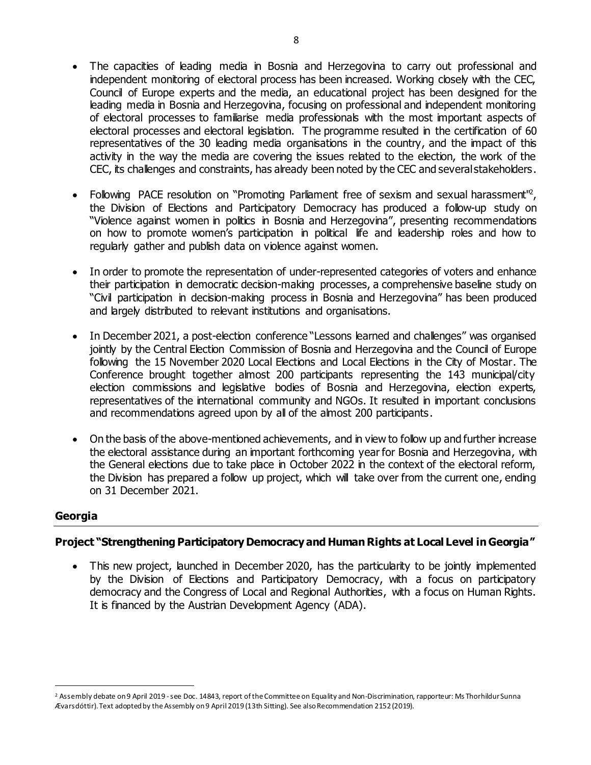- The capacities of leading media in Bosnia and Herzegovina to carry out professional and independent monitoring of electoral process has been increased. Working closely with the CEC, Council of Europe experts and the media, an educational project has been designed for the leading media in Bosnia and Herzegovina, focusing on professional and independent monitoring of electoral processes to familiarise media professionals with the most important aspects of electoral processes and electoral legislation. The programme resulted in the certification of 60 representatives of the 30 leading media organisations in the country, and the impact of this activity in the way the media are covering the issues related to the election, the work of the CEC, its challenges and constraints, has already been noted by the CEC and several stakeholders.
- Following PACE resolution on "Promoting Parliament free of sexism and sexual harassment", the Division of Elections and Participatory Democracy has produced a follow-up study on "Violence against women in politics in Bosnia and Herzegovina", presenting recommendations on how to promote women's participation in political life and leadership roles and how to regularly gather and publish data on violence against women.
- In order to promote the representation of under-represented categories of voters and enhance their participation in democratic decision-making processes, a comprehensive baseline study on "Civil participation in decision-making process in Bosnia and Herzegovina" has been produced and largely distributed to relevant institutions and organisations.
- In December 2021, a post-election conference "Lessons learned and challenges" was organised jointly by the Central Election Commission of Bosnia and Herzegovina and the Council of Europe following the 15 November 2020 Local Elections and Local Elections in the City of Mostar. The Conference brought together almost 200 participants representing the 143 municipal/city election commissions and legislative bodies of Bosnia and Herzegovina, election experts, representatives of the international community and NGOs. It resulted in important conclusions and recommendations agreed upon by all of the almost 200 participants.
- On the basis of the above-mentioned achievements, and in view to follow up and further increase the electoral assistance during an important forthcoming year for Bosnia and Herzegovina, with the General elections due to take place in October 2022 in the context of the electoral reform, the Division has prepared a follow up project, which will take over from the current one, ending on 31 December 2021.

#### **Georgia**

#### **Project "Strengthening Participatory Democracy and Human Rights at Local Level in Georgia"**

• This new project, launched in December 2020, has the particularity to be jointly implemented by the Division of Elections and Participatory Democracy, with a focus on participatory democracy and the Congress of Local and Regional Authorities, with a focus on Human Rights. It is financed by the Austrian Development Agency (ADA).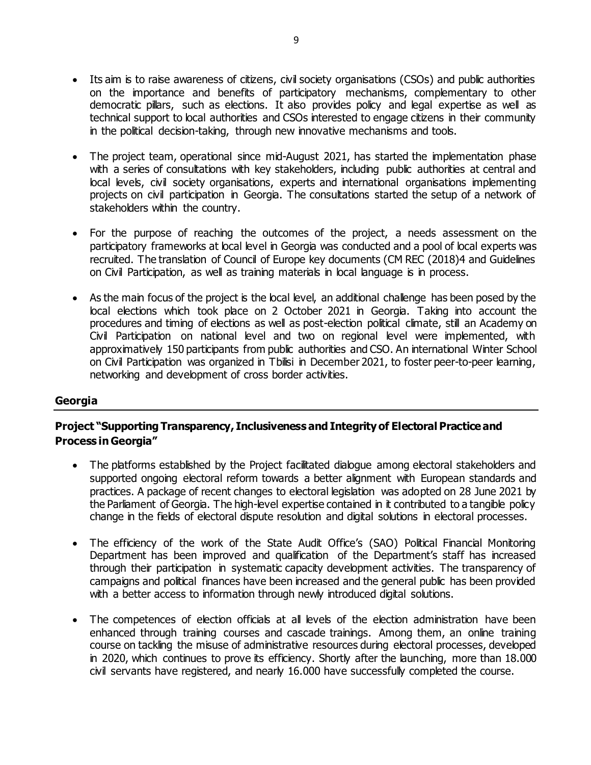- Its aim is to raise awareness of citizens, civil society organisations (CSOs) and public authorities on the importance and benefits of participatory mechanisms, complementary to other democratic pillars, such as elections. It also provides policy and legal expertise as well as technical support to local authorities and CSOs interested to engage citizens in their community in the political decision-taking, through new innovative mechanisms and tools.
- The project team, operational since mid-August 2021, has started the implementation phase with a series of consultations with key stakeholders, including public authorities at central and local levels, civil society organisations, experts and international organisations implementing projects on civil participation in Georgia. The consultations started the setup of a network of stakeholders within the country.
- For the purpose of reaching the outcomes of the project, a needs assessment on the participatory frameworks at local level in Georgia was conducted and a pool of local experts was recruited. The translation of Council of Europe key documents (CM REC (2018)4 and Guidelines on Civil Participation, as well as training materials in local language is in process.
- As the main focus of the project is the local level, an additional challenge has been posed by the local elections which took place on 2 October 2021 in Georgia. Taking into account the procedures and timing of elections as well as post-election political climate, still an Academy on Civil Participation on national level and two on regional level were implemented, with approximatively 150 participants from public authorities and CSO. An international Winter School on Civil Participation was organized in Tbilisi in December 2021, to foster peer-to-peer learning, networking and development of cross border activities.

#### **Georgia**

### **Project "Supporting Transparency, Inclusiveness and Integrity of Electoral Practice and Process in Georgia"**

- The platforms established by the Project facilitated dialogue among electoral stakeholders and supported ongoing electoral reform towards a better alignment with European standards and practices. A package of recent changes to electoral legislation was adopted on 28 June 2021 by the Parliament of Georgia. The high-level expertise contained in it contributed to a tangible policy change in the fields of electoral dispute resolution and digital solutions in electoral processes.
- The efficiency of the work of the State Audit Office's (SAO) Political Financial Monitoring Department has been improved and qualification of the Department's staff has increased through their participation in systematic capacity development activities. The transparency of campaigns and political finances have been increased and the general public has been provided with a better access to information through newly introduced digital solutions.
- The competences of election officials at all levels of the election administration have been enhanced through training courses and cascade trainings. Among them, an online training course on tackling the misuse of administrative resources during electoral processes, developed in 2020, which continues to prove its efficiency. Shortly after the launching, more than 18.000 civil servants have registered, and nearly 16.000 have successfully completed the course.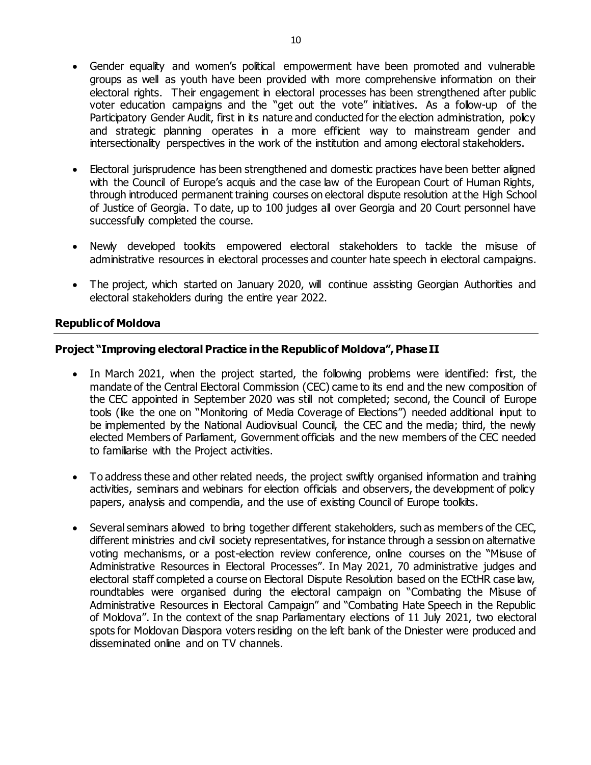- Gender equality and women's political empowerment have been promoted and vulnerable groups as well as youth have been provided with more comprehensive information on their electoral rights. Their engagement in electoral processes has been strengthened after public voter education campaigns and the "get out the vote" initiatives. As a follow-up of the Participatory Gender Audit, first in its nature and conducted for the election administration, policy and strategic planning operates in a more efficient way to mainstream gender and intersectionality perspectives in the work of the institution and among electoral stakeholders.
- Electoral jurisprudence has been strengthened and domestic practices have been better aligned with the Council of Europe's acquis and the case law of the European Court of Human Rights, through introduced permanent training courses on electoral dispute resolution at the High School of Justice of Georgia. To date, up to 100 judges all over Georgia and 20 Court personnel have successfully completed the course.
- Newly developed toolkits empowered electoral stakeholders to tackle the misuse of administrative resources in electoral processes and counter hate speech in electoral campaigns.
- The project, which started on January 2020, will continue assisting Georgian Authorities and electoral stakeholders during the entire year 2022.

#### **Republic of Moldova**

#### **Project "Improving electoral Practice in the Republic of Moldova", Phase II**

- In March 2021, when the project started, the following problems were identified: first, the mandate of the Central Electoral Commission (CEC) came to its end and the new composition of the CEC appointed in September 2020 was still not completed; second, the Council of Europe tools (like the one on "Monitoring of Media Coverage of Elections") needed additional input to be implemented by the National Audiovisual Council, the CEC and the media; third, the newly elected Members of Parliament, Government officials and the new members of the CEC needed to familiarise with the Project activities.
- To address these and other related needs, the project swiftly organised information and training activities, seminars and webinars for election officials and observers, the development of policy papers, analysis and compendia, and the use of existing Council of Europe toolkits.
- Several seminars allowed to bring together different stakeholders, such as members of the CEC, different ministries and civil society representatives, for instance through a session on alternative voting mechanisms, or a post-election review conference, online courses on the "Misuse of Administrative Resources in Electoral Processes". In May 2021, 70 administrative judges and electoral staff completed a course on Electoral Dispute Resolution based on the ECtHR case law, roundtables were organised during the electoral campaign on "Combating the Misuse of Administrative Resources in Electoral Campaign" and "Combating Hate Speech in the Republic of Moldova". In the context of the snap Parliamentary elections of 11 July 2021, two electoral spots for Moldovan Diaspora voters residing on the left bank of the Dniester were produced and disseminated online and on TV channels.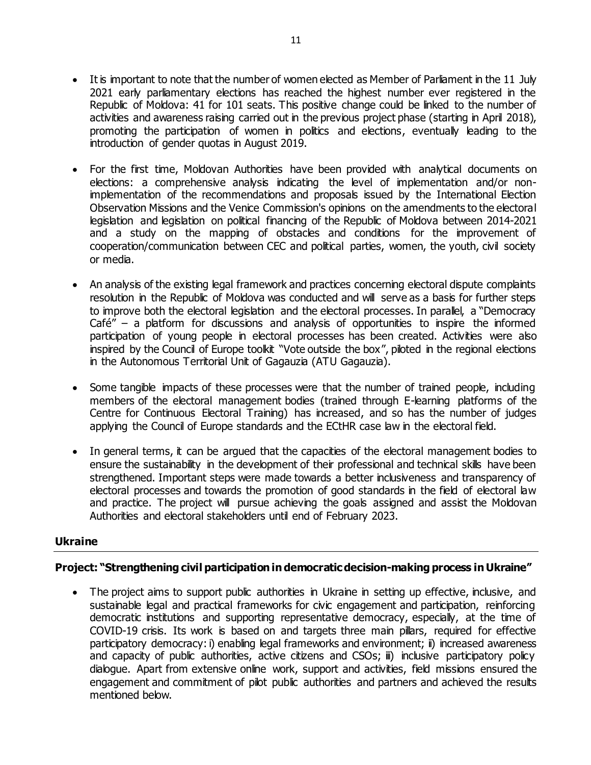- It is important to note that the number of women elected as Member of Parliament in the 11 July 2021 early parliamentary elections has reached the highest number ever registered in the Republic of Moldova: 41 for 101 seats. This positive change could be linked to the number of activities and awareness raising carried out in the previous project phase (starting in April 2018), promoting the participation of women in politics and elections, eventually leading to the introduction of gender quotas in August 2019.
- For the first time, Moldovan Authorities have been provided with analytical documents on elections: a comprehensive analysis indicating the level of implementation and/or nonimplementation of the recommendations and proposals issued by the International Election Observation Missions and the Venice Commission's opinions on the amendments to the electoral legislation and legislation on political financing of the Republic of Moldova between 2014-2021 and a study on the mapping of obstacles and conditions for the improvement of cooperation/communication between CEC and political parties, women, the youth, civil society or media.
- An analysis of the existing legal framework and practices concerning electoral dispute complaints resolution in the Republic of Moldova was conducted and will serve as a basis for further steps to improve both the electoral legislation and the electoral processes. In parallel, a "Democracy  $Café'' - a$  platform for discussions and analysis of opportunities to inspire the informed participation of young people in electoral processes has been created. Activities were also inspired by the Council of Europe toolkit "Vote outside the box", piloted in the regional elections in the Autonomous Territorial Unit of Gagauzia (ATU Gagauzia).
- Some tangible impacts of these processes were that the number of trained people, including members of the electoral management bodies (trained through E-learning platforms of the Centre for Continuous Electoral Training) has increased, and so has the number of judges applying the Council of Europe standards and the ECtHR case law in the electoral field.
- In general terms, it can be argued that the capacities of the electoral management bodies to ensure the sustainability in the development of their professional and technical skills have been strengthened. Important steps were made towards a better inclusiveness and transparency of electoral processes and towards the promotion of good standards in the field of electoral law and practice. The project will pursue achieving the goals assigned and assist the Moldovan Authorities and electoral stakeholders until end of February 2023.

#### **Ukraine**

#### **Project: "Strengthening civil participation in democratic decision-making process in Ukraine"**

• The project aims to support public authorities in Ukraine in setting up effective, inclusive, and sustainable legal and practical frameworks for civic engagement and participation, reinforcing democratic institutions and supporting representative democracy, especially, at the time of COVID-19 crisis. Its work is based on and targets three main pillars, required for effective participatory democracy: i) enabling legal frameworks and environment; ii) increased awareness and capacity of public authorities, active citizens and CSOs; iii) inclusive participatory policy dialogue. Apart from extensive online work, support and activities, field missions ensured the engagement and commitment of pilot public authorities and partners and achieved the results mentioned below.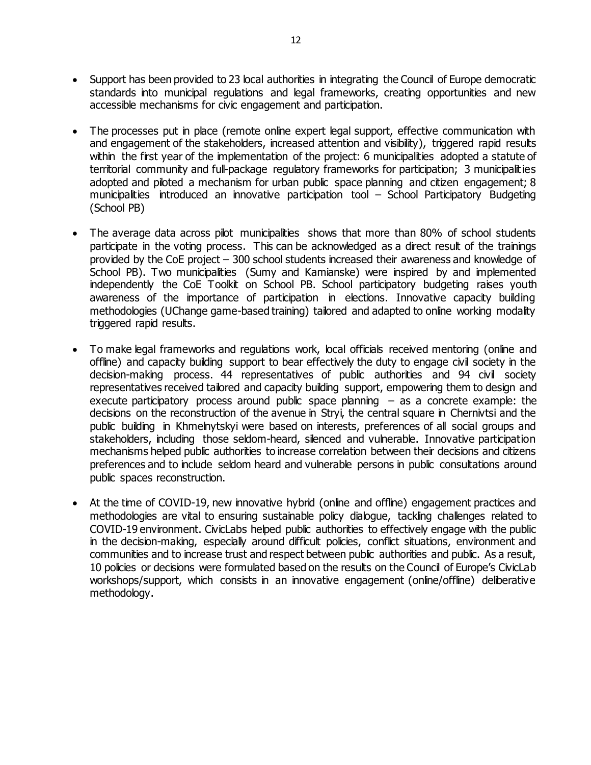- Support has been provided to 23 local authorities in integrating the Council of Europe democratic standards into municipal regulations and legal frameworks, creating opportunities and new accessible mechanisms for civic engagement and participation.
- The processes put in place (remote online expert legal support, effective communication with and engagement of the stakeholders, increased attention and visibility), triggered rapid results within the first year of the implementation of the project: 6 municipalities adopted a statute of territorial community and full-package regulatory frameworks for participation; 3 municipalities adopted and piloted a mechanism for urban public space planning and citizen engagement; 8 municipalities introduced an innovative participation tool – School Participatory Budgeting (School PB)
- The average data across pilot municipalities shows that more than 80% of school students participate in the voting process. This can be acknowledged as a direct result of the trainings provided by the CoE project – 300 school students increased their awareness and knowledge of School PB). Two municipalities (Sumy and Kamianske) were inspired by and implemented independently the CoE Toolkit on School PB. School participatory budgeting raises youth awareness of the importance of participation in elections. Innovative capacity building methodologies (UChange game-based training) tailored and adapted to online working modality triggered rapid results.
- To make legal frameworks and regulations work, local officials received mentoring (online and offline) and capacity building support to bear effectively the duty to engage civil society in the decision-making process. 44 representatives of public authorities and 94 civil society representatives received tailored and capacity building support, empowering them to design and execute participatory process around public space planning  $-$  as a concrete example: the decisions on the reconstruction of the avenue in Stryi, the central square in Chernivtsi and the public building in Khmelnytskyi were based on interests, preferences of all social groups and stakeholders, including those seldom-heard, silenced and vulnerable. Innovative participation mechanisms helped public authorities to increase correlation between their decisions and citizens preferences and to include seldom heard and vulnerable persons in public consultations around public spaces reconstruction.
- At the time of COVID-19, new innovative hybrid (online and offline) engagement practices and methodologies are vital to ensuring sustainable policy dialogue, tackling challenges related to COVID-19 environment. CivicLabs helped public authorities to effectively engage with the public in the decision-making, especially around difficult policies, conflict situations, environment and communities and to increase trust and respect between public authorities and public. As a result, 10 policies or decisions were formulated based on the results on the Council of Europe's CivicLab workshops/support, which consists in an innovative engagement (online/offline) deliberative methodology.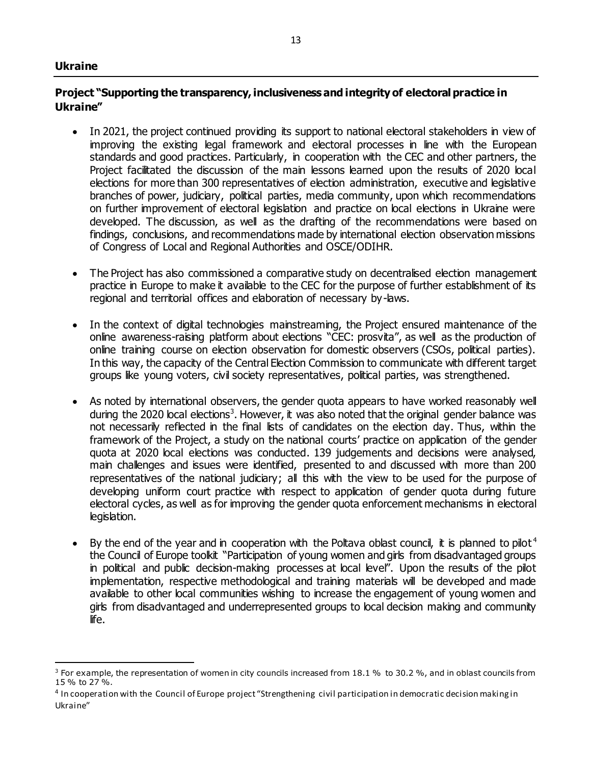#### **Ukraine**

 $\overline{a}$ 

#### **Project "Supporting the transparency, inclusiveness and integrity of electoral practice in Ukraine"**

- In 2021, the project continued providing its support to national electoral stakeholders in view of improving the existing legal framework and electoral processes in line with the European standards and good practices. Particularly, in cooperation with the CEC and other partners, the Project facilitated the discussion of the main lessons learned upon the results of 2020 local elections for more than 300 representatives of election administration, executive and legislative branches of power, judiciary, political parties, media community, upon which recommendations on further improvement of electoral legislation and practice on local elections in Ukraine were developed. The discussion, as well as the drafting of the recommendations were based on findings, conclusions, and recommendations made by international election observation missions of Congress of Local and Regional Authorities and OSCE/ODIHR.
- The Project has also commissioned a comparative study on decentralised election management practice in Europe to make it available to the CEC for the purpose of further establishment of its regional and territorial offices and elaboration of necessary by-laws.
- In the context of digital technologies mainstreaming, the Project ensured maintenance of the online awareness-raising platform about elections "CEC: prosvita", as well as the production of online training course on election observation for domestic observers (CSOs, political parties). In this way, the capacity of the Central Election Commission to communicate with different target groups like young voters, civil society representatives, political parties, was strengthened.
- As noted by international observers, the gender quota appears to have worked reasonably well during the 2020 local elections<sup>3</sup>. However, it was also noted that the original gender balance was not necessarily reflected in the final lists of candidates on the election day. Thus, within the framework of the Project, a study on the national courts' practice on application of the gender quota at 2020 local elections was conducted. 139 judgements and decisions were analysed, main challenges and issues were identified, presented to and discussed with more than 200 representatives of the national judiciary; all this with the view to be used for the purpose of developing uniform court practice with respect to application of gender quota during future electoral cycles, as well as for improving the gender quota enforcement mechanisms in electoral legislation.
- By the end of the year and in cooperation with the Poltava oblast council, it is planned to pilot<sup>4</sup> the Council of Europe toolkit "Participation of young women and girls from disadvantaged groups in political and public decision-making processes at local level". Upon the results of the pilot implementation, respective methodological and training materials will be developed and made available to other local communities wishing to increase the engagement of young women and girls from disadvantaged and underrepresented groups to local decision making and community life.

 $3$  For example, the representation of women in city councils increased from 18.1 % to 30.2 %, and in oblast councils from 15 % to 27 %.

<sup>4</sup> In cooperation with the Council of Europe project "Strengthening civil participation in democratic decision making in Ukraine"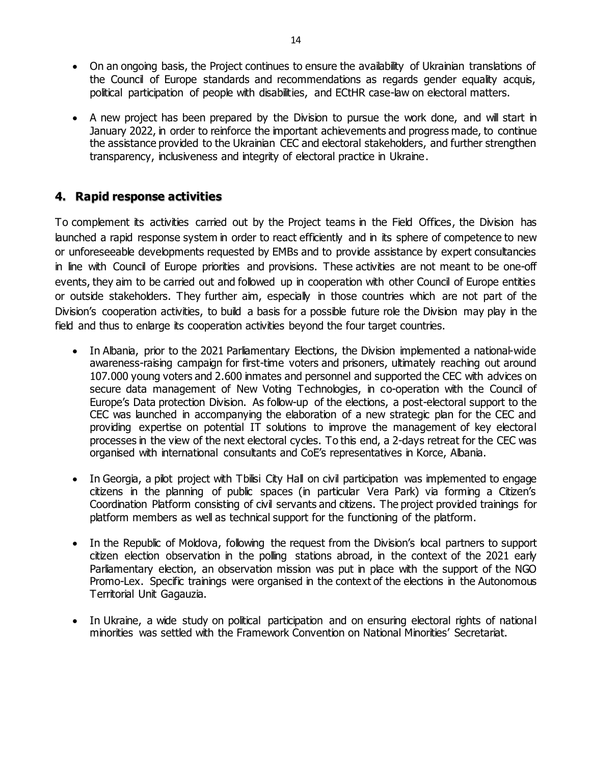- On an ongoing basis, the Project continues to ensure the availability of Ukrainian translations of the Council of Europe standards and recommendations as regards gender equality acquis, political participation of people with disabilities, and ECtHR case-law on electoral matters.
- A new project has been prepared by the Division to pursue the work done, and will start in January 2022, in order to reinforce the important achievements and progress made, to continue the assistance provided to the Ukrainian CEC and electoral stakeholders, and further strengthen transparency, inclusiveness and integrity of electoral practice in Ukraine.

# **4. Rapid response activities**

To complement its activities carried out by the Project teams in the Field Offices, the Division has launched a rapid response system in order to react efficiently and in its sphere of competence to new or unforeseeable developments requested by EMBs and to provide assistance by expert consultancies in line with Council of Europe priorities and provisions. These activities are not meant to be one-off events, they aim to be carried out and followed up in cooperation with other Council of Europe entities or outside stakeholders. They further aim, especially in those countries which are not part of the Division's cooperation activities, to build a basis for a possible future role the Division may play in the field and thus to enlarge its cooperation activities beyond the four target countries.

- In Albania, prior to the 2021 Parliamentary Elections, the Division implemented a national-wide awareness-raising campaign for first-time voters and prisoners, ultimately reaching out around 107.000 young voters and 2.600 inmates and personnel and supported the CEC with advices on secure data management of New Voting Technologies, in co-operation with the Council of Europe's Data protection Division. As follow-up of the elections, a post-electoral support to the CEC was launched in accompanying the elaboration of a new strategic plan for the CEC and providing expertise on potential IT solutions to improve the management of key electoral processes in the view of the next electoral cycles. To this end, a 2-days retreat for the CEC was organised with international consultants and CoE's representatives in Korce, Albania.
- In Georgia, a pilot project with Tbilisi City Hall on civil participation was implemented to engage citizens in the planning of public spaces (in particular Vera Park) via forming a Citizen's Coordination Platform consisting of civil servants and citizens. The project provided trainings for platform members as well as technical support for the functioning of the platform.
- In the Republic of Moldova, following the request from the Division's local partners to support citizen election observation in the polling stations abroad, in the context of the 2021 early Parliamentary election, an observation mission was put in place with the support of the NGO Promo-Lex. Specific trainings were organised in the context of the elections in the Autonomous Territorial Unit Gagauzia.
- In Ukraine, a wide study on political participation and on ensuring electoral rights of national minorities was settled with the Framework Convention on National Minorities' Secretariat.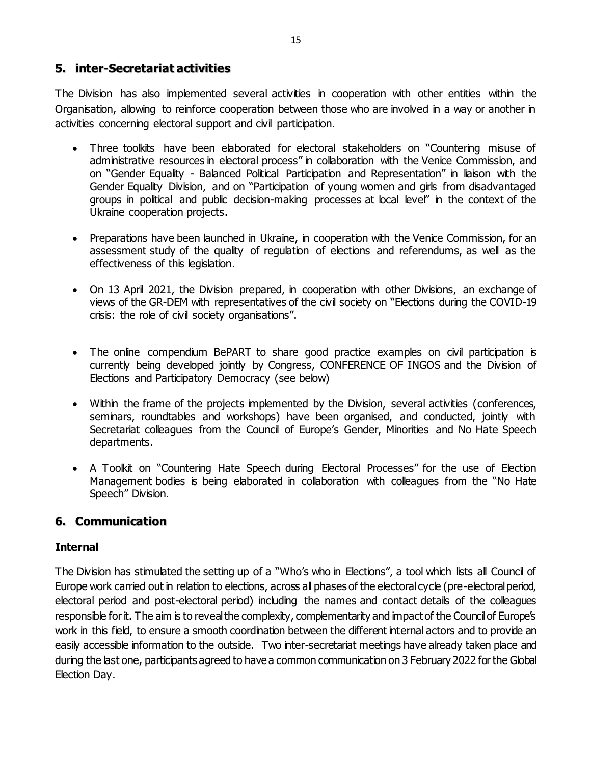# **5. inter-Secretariat activities**

The Division has also implemented several activities in cooperation with other entities within the Organisation, allowing to reinforce cooperation between those who are involved in a way or another in activities concerning electoral support and civil participation.

- Three toolkits have been elaborated for electoral stakeholders on "Countering misuse of administrative resources in electoral process" in collaboration with the Venice Commission, and on "Gender Equality - Balanced Political Participation and Representation" in liaison with the Gender Equality Division, and on "Participation of young women and girls from disadvantaged groups in political and public decision-making processes at local level" in the context of the Ukraine cooperation projects.
- Preparations have been launched in Ukraine, in cooperation with the Venice Commission, for an assessment study of the quality of regulation of elections and referendums, as well as the effectiveness of this legislation.
- On 13 April 2021, the Division prepared, in cooperation with other Divisions, an exchange of views of the GR-DEM with representatives of the civil society on "Elections during the COVID-19 crisis: the role of civil society organisations".
- The online compendium BePART to share good practice examples on civil participation is currently being developed jointly by Congress, CONFERENCE OF INGOS and the Division of Elections and Participatory Democracy (see below)
- Within the frame of the projects implemented by the Division, several activities (conferences, seminars, roundtables and workshops) have been organised, and conducted, jointly with Secretariat colleagues from the Council of Europe's Gender, Minorities and No Hate Speech departments.
- A Toolkit on "Countering Hate Speech during Electoral Processes" for the use of Election Management bodies is being elaborated in collaboration with colleagues from the "No Hate Speech" Division.

# **6. Communication**

# **Internal**

The Division has stimulated the setting up of a "Who's who in Elections", a tool which lists all Council of Europe work carried out in relation to elections, across all phases of the electoral cycle (pre-electoral period, electoral period and post-electoral period) including the names and contact details of the colleagues responsible for it. The aim is to reveal the complexity, complementarity and impact of the Council of Europe's work in this field, to ensure a smooth coordination between the different internal actors and to provide an easily accessible information to the outside. Two inter-secretariat meetings have already taken place and during the last one, participants agreed to have a common communication on 3 February 2022 for the Global Election Day.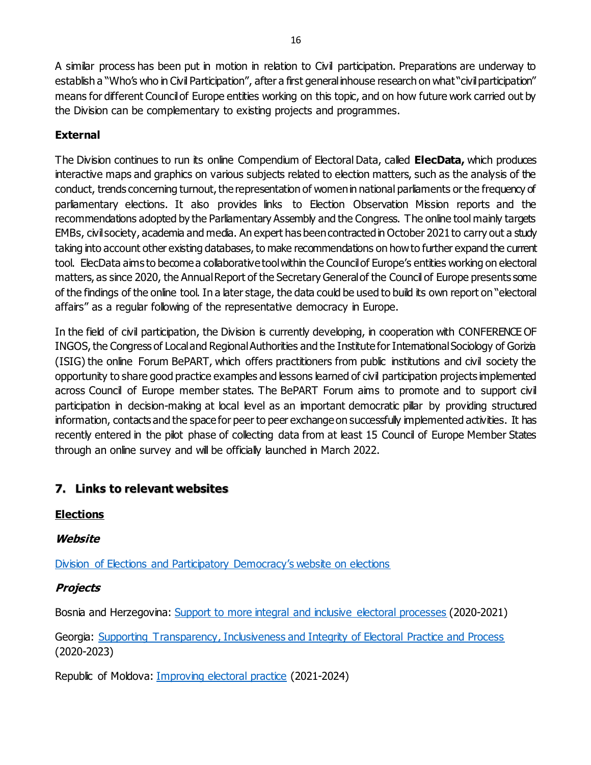A similar process has been put in motion in relation to Civil participation. Preparations are underway to establish a "Who's who in Civil Participation", after a first general inhouse research on what "civil participation" means for different Council of Europe entities working on this topic, and on how future work carried out by the Division can be complementary to existing projects and programmes.

# **External**

The Division continues to run its online Compendium of Electoral Data, called **ElecData,** which produces interactive maps and graphics on various subjects related to election matters, such as the analysis of the conduct, trends concerning turnout, the representation of women in national parliaments or the frequency of parliamentary elections. It also provides links to Election Observation Mission reports and the recommendations adopted by the Parliamentary Assembly and the Congress. The online tool mainly targets EMBs, civil society, academia and media. An expert has been contracted in October 2021 to carry out a study taking into account other existing databases, to make recommendations on how to further expand the current tool. ElecData aims to become a collaborative tool within the Council of Europe's entities working on electoral matters, as since 2020, the Annual Report of the Secretary General of the Council of Europe presents some of the findings of the online tool. In a later stage, the data could be used to build its own report on "electoral affairs" as a regular following of the representative democracy in Europe.

In the field of civil participation, the Division is currently developing, in cooperation with CONFERENCE OF INGOS, the Congress of Local and Regional Authorities and the Institute for International Sociology of Gorizia (ISIG) the online Forum BePART, which offers practitioners from public institutions and civil society the opportunity to share good practice examples and lessons learned of civil participation projects implemented across Council of Europe member states. The BePART Forum aims to promote and to support civil participation in decision-making at local level as an important democratic pillar by providing structured information, contacts and the space for peer to peer exchange on successfully implemented activities. It has recently entered in the pilot phase of collecting data from at least 15 Council of Europe Member States through an online survey and will be officially launched in March 2022.

# **7. Links to relevant websites**

# **Elections**

**Website**

[Division of Elections and Participatory Democracy's website on elections](https://www.coe.int/en/web/electoral-assistance)

# **Projects**

Bosnia and Herzegovina: [Support to more integral and inclusive electoral processes](https://www.coe.int/en/web/electoral-assistance/bosnia-and-herzegovina) (2020-2021)

Georgia: [Supporting Transparency, Inclusiveness and Integrity of Electoral Practice and Process](https://www.coe.int/en/web/electoral-assistance/georgia) (2020-2023)

Republic of Moldova[: Improving electoral practice](https://www.coe.int/en/web/electoral-assistance/republic-of-moldova) (2021-2024)